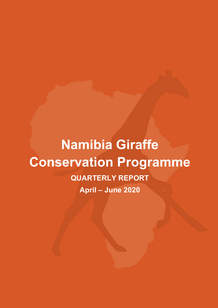# **Namibia Giraffe Conservation Programme QUARTERLY REPORT**

**April – June 2020**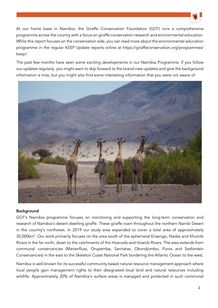

At our home base in Namibia, the Giraffe Conservation Foundation (GCF) runs a comprehensive programme across the country with a focus on giraffe conservation research and environmental education. While this report focuses on the conservation side, you can read more about the environmental education programme in the regular KEEP Update reports online at https://giraffeconservation.org/programmes/ keep/.

The past few months have seen some exciting developments in our Namibia Programme. If you follow our updates regularly, you might want to skip forward to the brand-new updates and give the background information a miss, but you might also find some interesting information that you were not aware of.



#### **Background**

GCF's Namibia programme focuses on monitoring and supporting the long-term conservation and research of Namibia's desert-dwelling giraffe. These giraffe roam throughout the northern Namib Desert in the country's northwest. In 2019 our study area expanded to cover a total area of approximately 30,000km<sup>2</sup>. Our work primarily focuses on the area south of the ephemeral Ensengo, Nadas and Khumib Rivers in the far north, down to the catchments of the Hoarusib and Hoanib Rivers. The area extends from communal conservancies (Marienfluss, Orupembe, Sanitatas, Okondjombo, Puros and Sesfontein Conservancies) in the east to the Skeleton Coast National Park bordering the Atlantic Ocean to the west.

Namibia is well-known for its successful community based natural resource management approach where local people gain management rights to their designated local land and natural resources including wildlife. Approximately 20% of Namibia's surface areas is managed and protected in such communal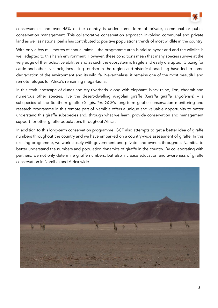

conservancies and over 46% of the country is under some form of private, communal or public conservation management. This collaborative conservation approach involving communal and private land as well as national parks has contributed to positive populations trends of most wildlife in the country.

With only a few millimetres of annual rainfall, the programme area is arid to hyper-arid and the wildlife is well adapted to this harsh environment. However, these conditions mean that many species survive at the very edge of their adaptive abilities and as such the ecosystem is fragile and easily disrupted. Grazing for cattle and other livestock, increasing tourism in the region and historical poaching have led to some degradation of the environment and its wildlife. Nevertheless, it remains one of the most beautiful and remote refuges for Africa's remaining mega-fauna.

In this stark landscape of dunes and dry riverbeds, along with elephant, black rhino, lion, cheetah and numerous other species, live the desert-dwelling Angolan giraffe (Giraffa giraffa angolensis) – a subspecies of the Southern giraffe (G. giraffa). GCF's long-term giraffe conservation monitoring and research programme in this remote part of Namibia offers a unique and valuable opportunity to better understand this giraffe subspecies and, through what we learn, provide conservation and management support for other giraffe populations throughout Africa.

In addition to this long-term conservation programme, GCF also attempts to get a better idea of giraffe numbers throughout the country and we have embarked on a country-wide assessment of giraffe. In this exciting programme, we work closely with government and private land-owners throughout Namibia to better understand the numbers and population dynamics of giraffe in the country. By collaborating with partners, we not only determine giraffe numbers, but also increase education and awareness of giraffe conservation in Namibia and Africa-wide.

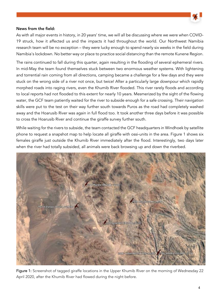

### News from the field:

As with all major events in history, in 20 years' time, we will all be discussing where we were when COVID-19 struck, how it affected us and the impacts it had throughout the world. Our Northwest Namibia research team will be no exception – they were lucky enough to spend nearly six weeks in the field during Namibia's lockdown. No better way or place to practice social distancing than the remote Kunene Region.

The rains continued to fall during this quarter, again resulting in the flooding of several ephemeral rivers. In mid-May the team found themselves stuck between two enormous weather systems. With lightening and torrential rain coming from all directions, camping became a challenge for a few days and they were stuck on the wrong side of a river not once, but twice! After a particularly large downpour which rapidly morphed roads into raging rivers, even the Khumib River flooded. This river rarely floods and according to local reports had not flooded to this extent for nearly 10 years. Mesmerized by the sight of the flowing water, the GCF team patiently waited for the river to subside enough for a safe crossing. Their navigation skills were put to the test on their way further south towards Puros as the road had completely washed away and the Hoarusib River was again in full flood too. It took another three days before it was possible to cross the Hoarusib River and continue the giraffe survey further south.

While waiting for the rivers to subside, the team contacted the GCF headquarters in Windhoek by satellite phone to request a snapshot map to help locate all giraffe with ossi-units in the area. Figure 1 shows six females giraffe just outside the Khumib River immediately after the flood. Interestingly, two days later when the river had totally subsided, all animals were back browsing up and down the riverbed.



Figure 1: Screenshot of tagged giraffe locations in the Upper Khumib River on the morning of Wednesday 22 April 2020, after the Khumib River had flowed during the night before.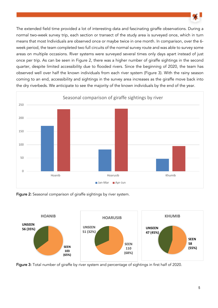

The extended field time provided a lot of interesting data and fascinating giraffe observations. During a normal two-week survey trip, each section or transect of the study area is surveyed once, which in turn means that most Individuals are observed once or maybe twice in one month. In comparison, over the 6 week period, the team completed two full circuits of the normal survey route and was able to survey some areas on multiple occasions. River systems were surveyed several times only days apart instead of just once per trip. As can be seen in Figure 2, there was a higher number of giraffe sightings in the second quarter, despite limited accessibility due to flooded rivers. Since the beginning of 2020, the team has observed well over half the known individuals from each river system (Figure 3). With the rainy season coming to an end, accessibility and sightings in the survey area increases as the giraffe move back into the dry riverbeds. We anticipate to see the majority of the known individuals by the end of the year.



Figure 2: Seasonal comparison of giraffe sightings by river system.



Figure 3: Total number of giraffe by river system and percentage of sightings in first half of 2020.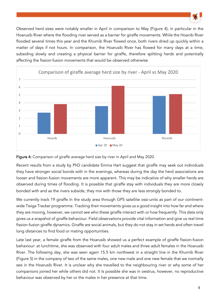

Observed herd sizes were notably smaller in April in comparison to May (Figure 4), in particular in the Hoarusib River where the flooding river served as a barrier for giraffe movements. While the Hoanib River flooded several times this year and the Khumib River flowed once, both rivers dried up quickly within a matter of days if not hours. In comparison, the Hoarusib River has flowed for many days at a time, subsiding slowly and creating a physical barrier for giraffe, therefore splitting herds and potentially affecting the fission-fusion movements that would be observed otherwise.





Recent results from a study by PhD candidate Emma Hart suggest that giraffe may seek out individuals they have stronger social bonds with in the evenings, whereas during the day the herd associations are looser and fission-fusion movements are more apparent. This may be indicative of why smaller herds are observed during times of flooding. It is possible that giraffe stay with individuals they are more closely bonded with and as the rivers subside, they mix with those they are less strongly bonded to.

We currently track 19 giraffe In the study area through GPS satellite ossi-units as part of our continentwide Twiga Tracker programme. Tracking their movements gives us a good insight into how far and where they are moving, however, we cannot see who these giraffe interact with or how frequently. This data only gives us a snapshot of giraffe behaviour. Field observations provide vital information and give us real time fission-fusion giraffe dynamics. Giraffe are social animals, but they do not stay in set herds and often travel long distances to find food or mating opportunities.

Late last year, a female giraffe from the Hoarusib showed us a perfect example of giraffe fission-fusion behaviour: at lunchtime, she was observed with four adult males and three adult females in the Hoarusib River. The following day, she was seen again 15.5 km northwest in a straight line in the Khumib River (Figure 5) in the company of two of the same males, one new male and one new female that we normally see in the Hoarusib River. It is unclear why she travelled to the neighbouring river or why some of her companions joined her while others did not. It Is possible she was in oestrus, however, no reproductive behaviour was observed by her or the males in her presence at that time.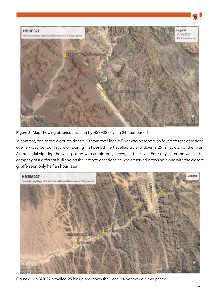

Figure 5: Map showing distance travelled by HSBF027 over a 24-hour period.

In contrast, one of the older resident bulls from the Hoanib River was observed on four different occasions over a 7-day period (Figure 6). During that period, he travelled up and down a 25 km stretch of the river. At the initial sighting, he was spotted with an old bull, a cow, and her calf. Four days later, he was in the company of a different bull and on the last two occasions he was observed browsing alone with the closest giraffe seen only half an hour later.



Figure 6: HNBM027 travelled 25 km up and down the Hoanib River over a 7-day period.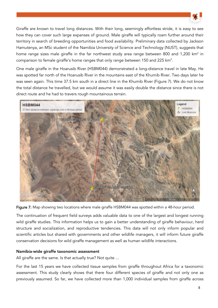

Giraffe are known to travel long distances. With their long, seemingly effortless stride, it is easy to see how they can cover such large expanses of ground. Male giraffe will typically roam further around their territory in search of breeding opportunities and food availability. Preliminary data collected by Jackson Hamutenya, an MSc student of the Namibia University of Science and Technology (NUST), suggests that home range sizes male giraffe in the far northwest study area range between 800 and 1,200 km<sup>2</sup> in comparison to female giraffe's home ranges that only range between 150 and 225 km<sup>2</sup>.

One male giraffe in the Hoarusib River (HSBM044) demonstrated a long-distance travel in late May. He was spotted far north of the Hoarusib River in the mountains east of the Khumib River. Two days later he was seen again. This time 37.5 km south in a direct line in the Khumib River (Figure 7). We do not know the total distance he travelled, but we would assume it was easily double the distance since there is not direct route and he had to travers rough mountainous terrain.



Figure 7: Map showing two locations where male giraffe HSBM044 was spotted within a 48-hour period.

The continuation of frequent field surveys adds valuable data to one of the largest and longest running wild giraffe studies. This information helps us to gain a better understanding of giraffe behaviour, herd structure and socialization, and reproductive tendencies. This data will not only inform popular and scientific articles but shared with governments and other wildlife managers, it will inform future giraffe conservation decisions for wild giraffe management as well as human wildlife interactions.

#### Namibia-wide giraffe taxonomic assessment

All giraffe are the same. Is that actually true? Not quite ...

For the last 15 years we have collected tissue samples from giraffe throughout Africa for a taxonomic assessment. This study clearly shows that there four different species of giraffe and not only one as previously assumed. So far, we have collected more than 1,000 individual samples from giraffe across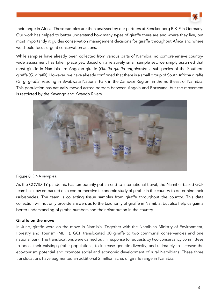

their range in Africa. These samples are then analysed by our partners at Senckenberg BiK-F in Germany. Our work has helped to better understand how many types of giraffe there are and where they live, but most importantly it guides conservation management decisions for giraffe throughout Africa and where we should focus urgent conservation actions.

While samples have already been collected from various parts of Namibia, no comprehensive countrywide assessment has taken place yet. Based on a relatively small sample set, we simply assumed that most giraffe in Namibia are Angolan giraffe (Giraffa giraffa angolensis), a subspecies of the Southern giraffe (G. giraffa). However, we have already confirmed that there is a small group of South Africna giraffe (G. g. giraffa) residing in Bwabwata National Park in the Zambezi Region, in the northeast of Namibia. This population has naturally moved across borders between Angola and Botswana, but the movement is restricted by the Kavango and Kwando Rivers.



#### Figure 8: DNA samples.

As the COVID-19 pandemic has temporarily put an end to international travel, the Namibia-based GCF team has now embarked on a comprehensive taxonomic study of giraffe in the country to determine their (sub)species. The team is collecting tissue samples from giraffe throughout the country. This data collection will not only provide answers as to the taxonomy of giraffe in Namibia, but also help us gain a better understanding of giraffe numbers and their distribution in the country.

## Giraffe on the move

In June, giraffe were on the move in Namibia. Together with the Namibian Ministry of Environment, Forestry and Tourism (MEFT), GCF translocated 30 giraffe to two communal conservancies and one national park. The translocations were carried out in response to requests by two conservancy committees to boost their existing giraffe populations, to increase genetic diversity, and ultimately to increase the eco-tourism potential and promote social and economic development of rural Namibians. These three translocations have augmented an additional 2 million acres of giraffe range in Namibia.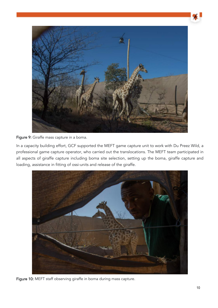

## Figure 9: Giraffe mass capture in a boma.

In a capacity building effort, GCF supported the MEFT game capture unit to work with Du Preez Wild, a professional game capture operator, who carried out the translocations. The MEFT team participated in all aspects of giraffe capture including boma site selection, setting up the boma, giraffe capture and loading, assistance in fitting of ossi-units and release of the giraffe.



Figure 10: MEFT staff observing giraffe in boma during mass capture.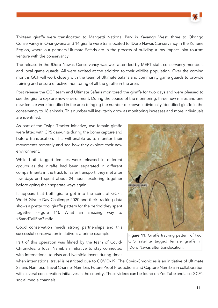

Thirteen giraffe were translocated to Mangetti National Park in Kavango West, three to Okongo Conservancy in Ohangwena and 14 giraffe were translocated to !Doro Nawas Conservancy in the Kunene Region, where our partners Ultimate Safaris are in the process of building a low impact joint tourism venture with the conservancy.

The release in the !Doro Nawas Conservancy was well attended by MEFT staff, conservancy members and local game guards. All were excited at the addition to their wildlife population. Over the coming months GCF will work closely with the team of Ultimate Safaris and community game guards to provide training and ensure effective monitoring of all the giraffe in the area.

Post release the GCF team and Ultimate Safaris monitored the giraffe for two days and were pleased to see the giraffe explore new environment. During the course of the monitoring, three new males and one new female were identified in the area bringing the number of known individually identified giraffe in the conservancy to 18 animals. This number will inevitably grow as monitoring increases and more individuals are identified.

As part of the Twiga Tracker initiative, two female giraffe were fitted with GPS ossi-units during the boma capture and before translocation. This will enable us to monitor their movements remotely and see how they explore their new environment.

While both tagged females were released in different groups as the giraffe had been separated in different compartments in the truck for safer transport, they met after few days and spent about 24 hours exploring together before going their separate ways again.

It appears that both giraffe got into the spirit of GCF's World Giraffe Day Challenge 2020 and their tracking data shows a pretty cool giraffe pattern for the period they spent together (Figure 11). What an amazing way to #StandTallForGiraffe.

Good conservation needs strong partnerships and this successful conservation initiative is a prime example.

Part of this operation was filmed by the team of Covid-Chronicles, a local Namibian initiative to stay connected with international tourists and Namibia-lovers during times



Figure 11: Giraffe tracking pattern of two GPS satellite tagged female giraffe in !Doro Nawas after translocation.

when international travel is restricted due to COVID-19. The Covid-Chronicles is an initiative of Ultimate Safaris Namibia, Travel Channel Namibia, Future Proof Productions and Capture Namibia in collaboration with several conservation initiatives in the country. These videos can be found on YouTube and also GCF's social media channels.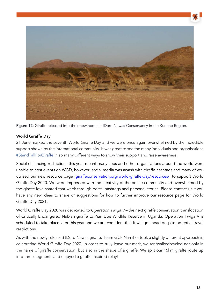

Figure 12: Giraffe released into their new home in !Doro Nawas Conservancy in the Kunene Region.

#### World Giraffe Day

21 June marked the seventh World Giraffe Day and we were once again overwhelmed by the incredible support shown by the international community. It was great to see the many individuals and organisations #StandTallForGiraffe in so many different ways to show their support and raise awareness.

Social distancing restrictions this year meant many zoos and other organisations around the world were unable to host events on WGD, however, social media was awash with giraffe hashtags and many of you utilised our new resource page (giraffeconservation.org/world-giraffe-day/resources/) to support World Giraffe Day 2020. We were impressed with the creativity of the online community and overwhelmed by the giraffe love shared that week through posts, hashtags and personal stories. Please contact us if you have any new ideas to share or suggestions for how to further improve our resource page for World Giraffe Day 2021.

World Giraffe Day 2020 was dedicated to Operation Twiga V – the next giraffe conservation translocation of Critically Endangered Nubian giraffe to Pian Upe Wildlife Reserve in Uganda. Operation Twiga V is scheduled to take place later this year and we are confident that it will go ahead despite potential travel restrictions.

As with the newly released !Doro Nawas giraffe, Team GCF Namibia took a slightly different approach in celebrating World Giraffe Day 2020. In order to truly leave our mark, we ran/walked/cycled not only in the name of giraffe conservation, but also in the shape of a giraffe. We split our 15km giraffe route up into three segments and enjoyed a giraffe inspired relay!